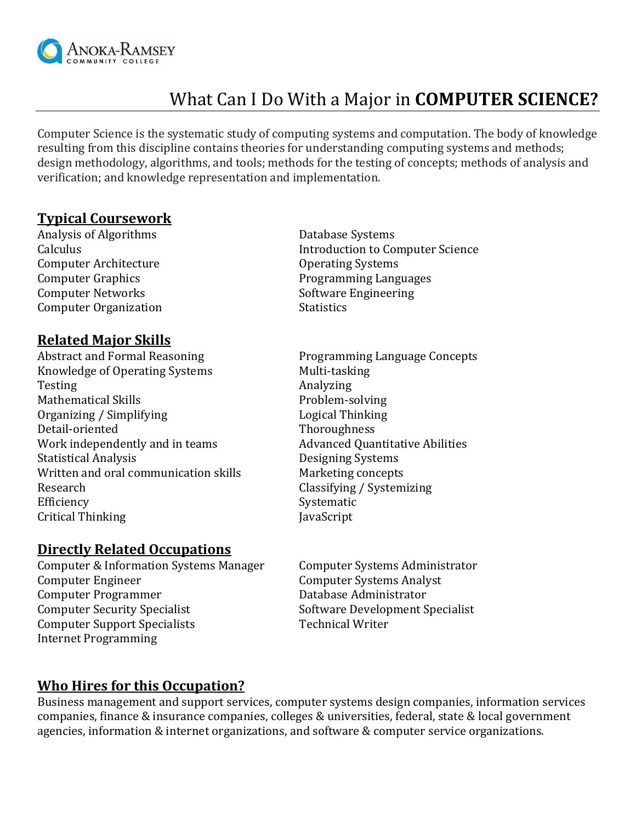

# What Can I Do With a Major in **COMPUTER SCIENCE?**

Computer Science is the systematic study of computing systems and computation. The body of knowledge resulting from this discipline contains theories for understanding computing systems and methods; design methodology, algorithms, and tools; methods for the testing of concepts; methods of analysis and verification; and knowledge representation and implementation.

### **Typical Coursework**

Analysis of Algorithms **Database Systems** Computer Architecture **Computer Architecture Computer Architecture Constant** Operating Systems Computer Networks Software Engineering Computer Organization Statistics

#### **Related Major Skills**

Abstract and Formal Reasoning **Programming Language Concepts** Knowledge of Operating Systems Multi-tasking Testing and a new analyzing and a new Analyzing Mathematical Skills **Problem-solving** Organizing / Simplifying Thinking Logical Thinking Detail-oriented Thoroughness Work independently and in teams The Musical Advanced Quantitative Abilities Statistical Analysis Designing Systems Written and oral communication skills Marketing concepts Research Classifying / Systemizing Efficiency Systematic Systematic Critical Thinking JavaScript

## **Directly Related Occupations**

Computer & Information Systems Manager Computer Systems Administrator Computer Engineer Computer Systems Analyst Computer Programmer **Computer Programmer Database Administrator** Computer Security Specialist Software Development Specialist Computer Support Specialists Technical Writer Internet Programming

Calculus Introduction to Computer Science Computer Graphics Programming Languages

### **Who Hires for this Occupation?**

Business management and support services, computer systems design companies, information services companies, finance & insurance companies, colleges & universities, federal, state & local government agencies, information & internet organizations, and software & computer service organizations.